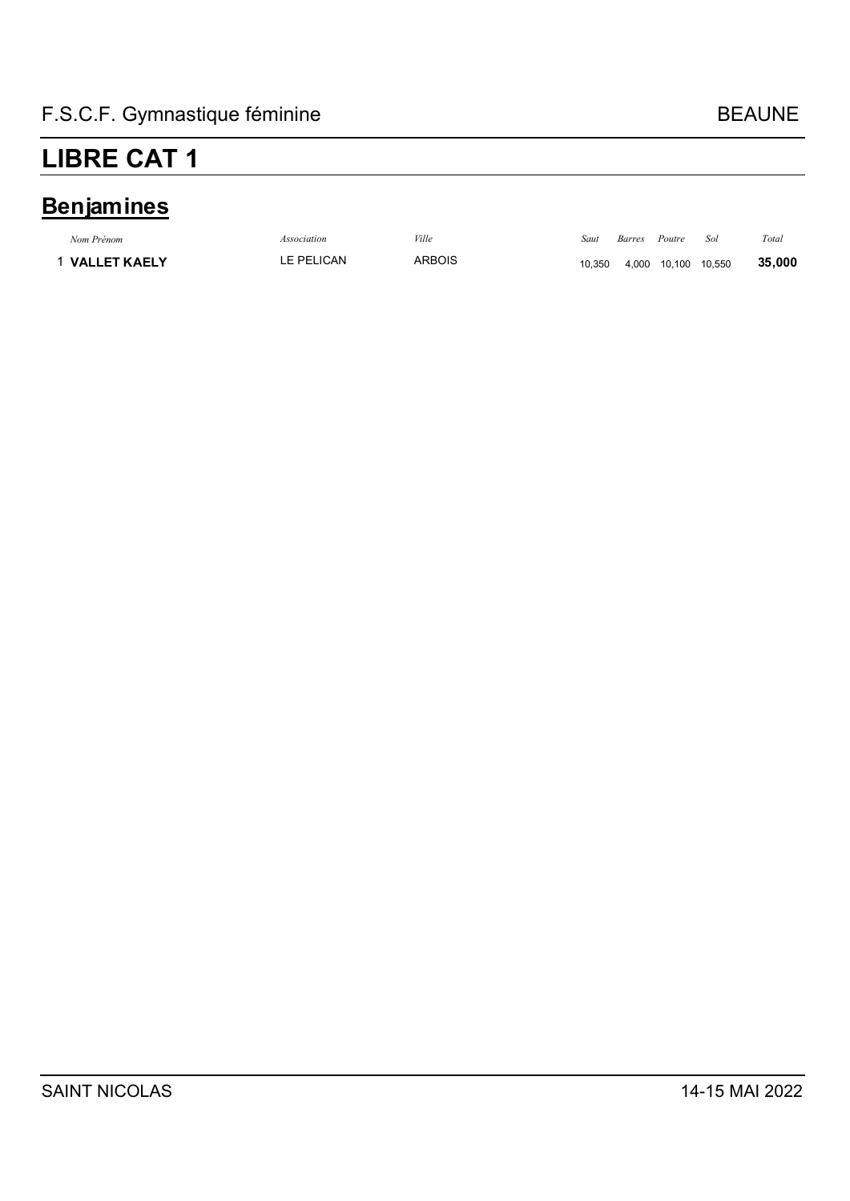### **Benjamines**

| Nom Prénom          | Association | Ville         | Saut   | Barres | Poutre              | Sol | Total  |
|---------------------|-------------|---------------|--------|--------|---------------------|-----|--------|
| <b>VALLET KAELY</b> | LE PELICAN  | <b>ARBOIS</b> | 10.350 |        | 4,000 10,100 10,550 |     | 35,000 |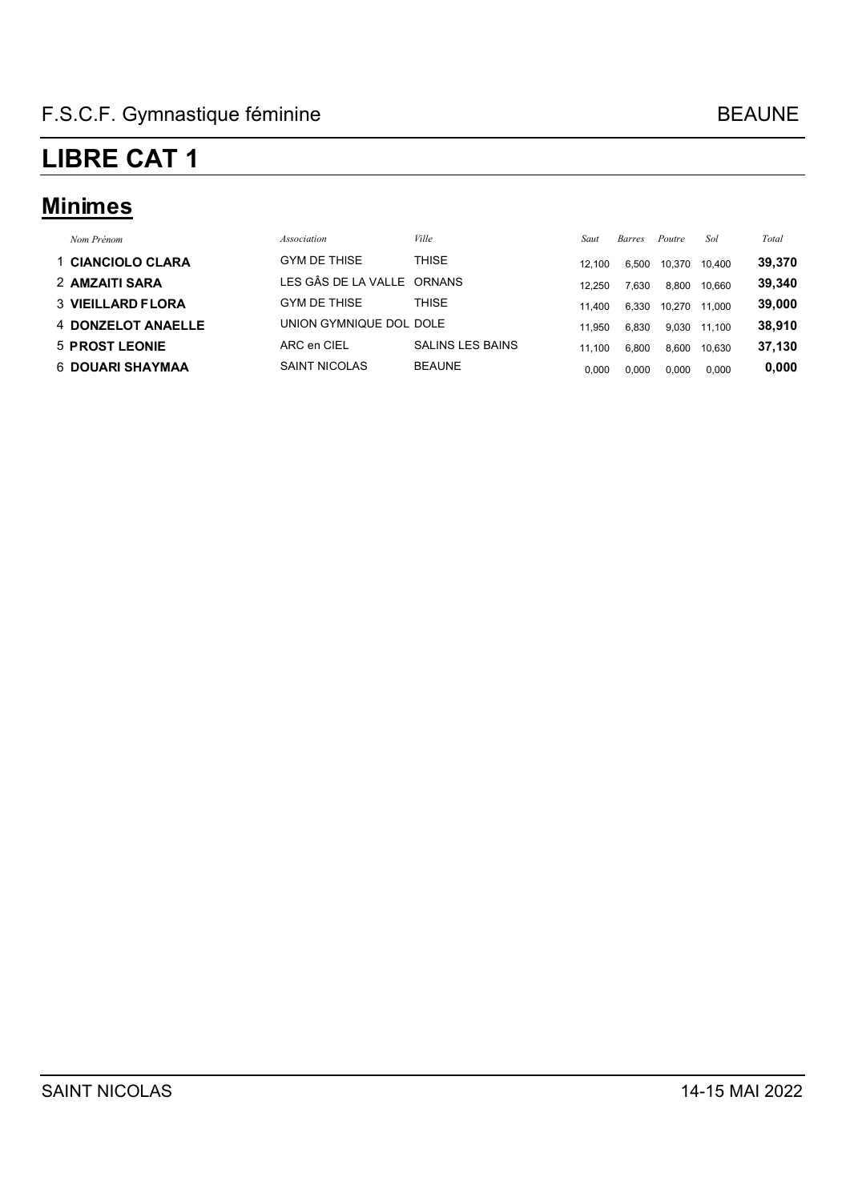### **Minimes**

| Nom Prénom               | Association                | Ville                   | Saut   | <b>Barres</b> | Poutre | Sol    | Total  |
|--------------------------|----------------------------|-------------------------|--------|---------------|--------|--------|--------|
| 1 CIANCIOLO CLARA        | <b>GYM DE THISE</b>        | THISE                   | 12.100 | 6.500         | 10,370 | 10.400 | 39,370 |
| 2 AMZAITI SARA           | LES GÂS DE LA VALLE ORNANS |                         | 12.250 | 7,630         | 8,800  | 10.660 | 39,340 |
| <b>3 VIEILLARD FLORA</b> | <b>GYM DE THISE</b>        | THISE                   | 11.400 | 6,330         | 10.270 | 11.000 | 39,000 |
| 4 DONZELOT ANAELLE       | UNION GYMNIQUE DOL DOLE    |                         | 11.950 | 6,830         | 9.030  | 11.100 | 38,910 |
| 5 PROST LEONIE           | ARC en CIEL                | <b>SALINS LES BAINS</b> | 11.100 | 6.800         | 8,600  | 10.630 | 37,130 |
| <b>6 DOUARI SHAYMAA</b>  | <b>SAINT NICOLAS</b>       | <b>BEAUNE</b>           | 0.000  | 0,000         | 0,000  | 0,000  | 0,000  |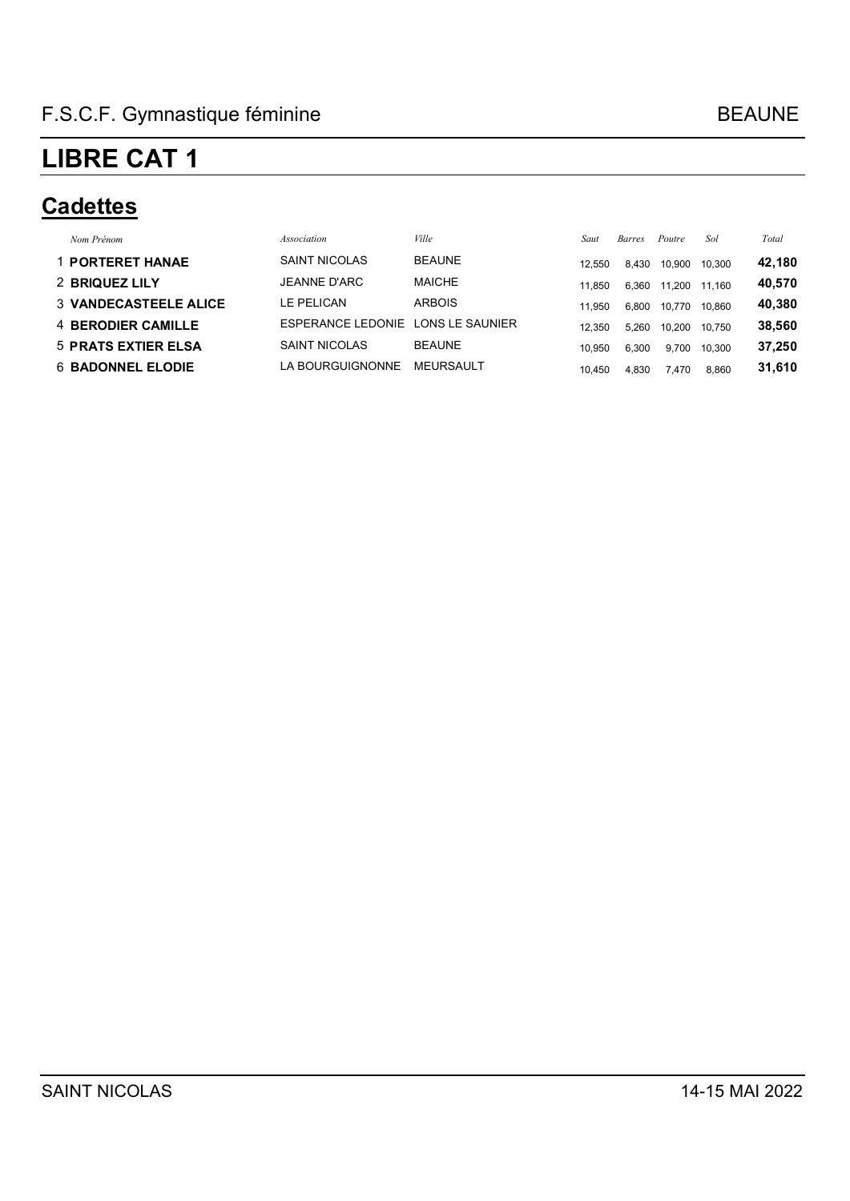#### **Cadettes**

| Nom Prénom                   | Association              | Ville            | Saut   | <i>Barres</i> | Poutre | Sol    | Total  |
|------------------------------|--------------------------|------------------|--------|---------------|--------|--------|--------|
| <b>1 PORTERET HANAE</b>      | <b>SAINT NICOLAS</b>     | <b>BEAUNE</b>    | 12.550 | 8.430         | 10.900 | 10.300 | 42,180 |
| 2 BRIQUEZ LILY               | JEANNE D'ARC             | <b>MAICHE</b>    | 11.850 | 6,360         | 11.200 | 11.160 | 40,570 |
| <b>3 VANDECASTEELE ALICE</b> | LE PELICAN               | <b>ARBOIS</b>    | 11.950 | 6,800         | 10.770 | 10.860 | 40,380 |
| 4 BERODIER CAMILLE           | <b>ESPERANCE LEDONIE</b> | LONS LE SAUNIER  | 12.350 | 5.260         | 10.200 | 10.750 | 38,560 |
| <b>5 PRATS EXTIER ELSA</b>   | <b>SAINT NICOLAS</b>     | <b>BEAUNE</b>    | 10.950 | 6,300         | 9.700  | 10.300 | 37,250 |
| <b>6 BADONNEL ELODIE</b>     | LA BOURGUIGNONNE         | <b>MEURSAULT</b> | 10.450 | 4.830         | 7.470  | 8.860  | 31,610 |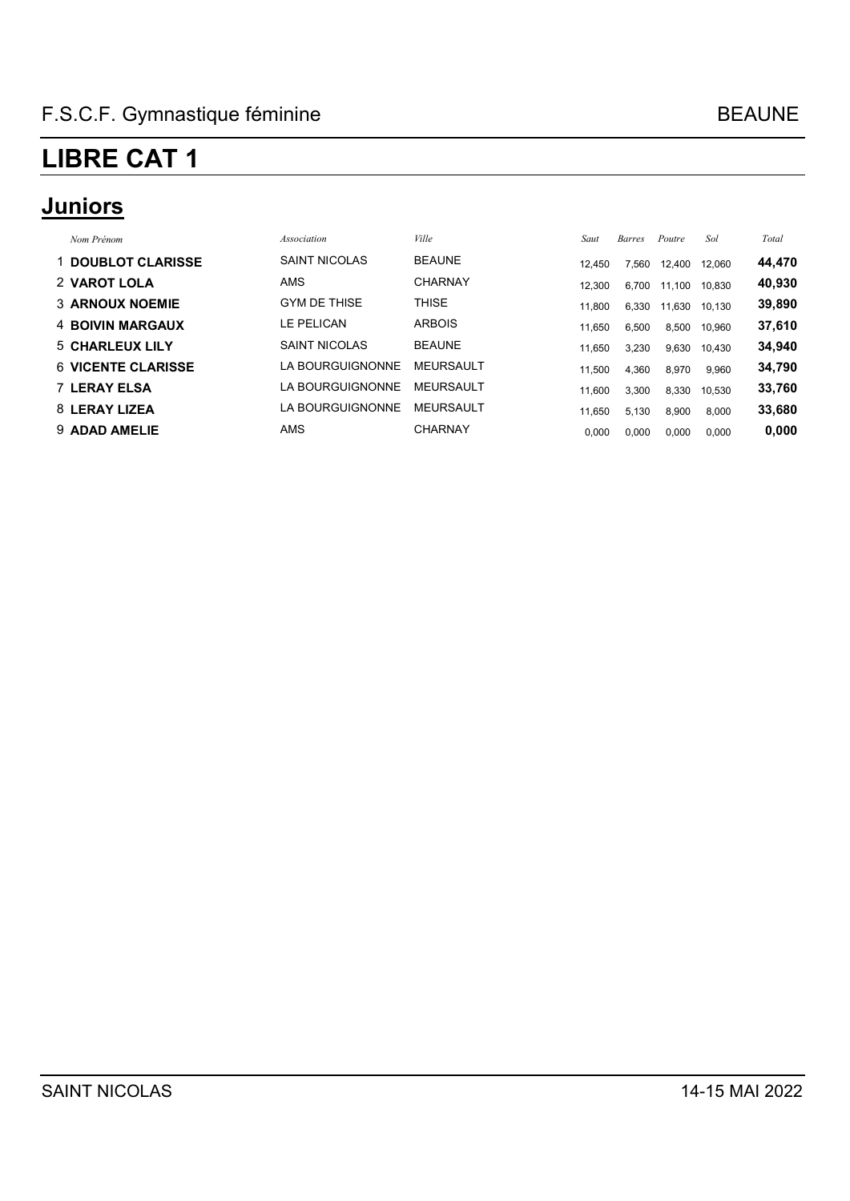### **Juniors**

| Nom Prénom                | Association          | Ville            | Saut   | <b>Barres</b> | Poutre | Sol    | Total  |
|---------------------------|----------------------|------------------|--------|---------------|--------|--------|--------|
| 1 DOUBLOT CLARISSE        | <b>SAINT NICOLAS</b> | <b>BEAUNE</b>    | 12.450 | 7,560         | 12.400 | 12.060 | 44,470 |
| 2 VAROT LOLA              | <b>AMS</b>           | <b>CHARNAY</b>   | 12.300 | 6,700         | 11,100 | 10,830 | 40,930 |
| <b>3 ARNOUX NOEMIE</b>    | <b>GYM DE THISE</b>  | <b>THISE</b>     | 11.800 | 6,330         | 11.630 | 10.130 | 39,890 |
| 4 BOIVIN MARGAUX          | LE PELICAN           | <b>ARBOIS</b>    | 11.650 | 6,500         | 8,500  | 10,960 | 37,610 |
| 5 CHARLEUX LILY           | <b>SAINT NICOLAS</b> | <b>BEAUNE</b>    | 11.650 | 3,230         | 9,630  | 10,430 | 34,940 |
| <b>6 VICENTE CLARISSE</b> | LA BOURGUIGNONNE     | <b>MEURSAULT</b> | 11.500 | 4.360         | 8,970  | 9,960  | 34,790 |
| <b>7 LERAY ELSA</b>       | LA BOURGUIGNONNE     | <b>MEURSAULT</b> | 11.600 | 3,300         | 8,330  | 10,530 | 33,760 |
| 8 LERAY LIZEA             | LA BOURGUIGNONNE     | <b>MEURSAULT</b> | 11.650 | 5,130         | 8,900  | 8,000  | 33,680 |
| 9 ADAD AMELIE             | <b>AMS</b>           | <b>CHARNAY</b>   | 0,000  | 0,000         | 0,000  | 0,000  | 0,000  |